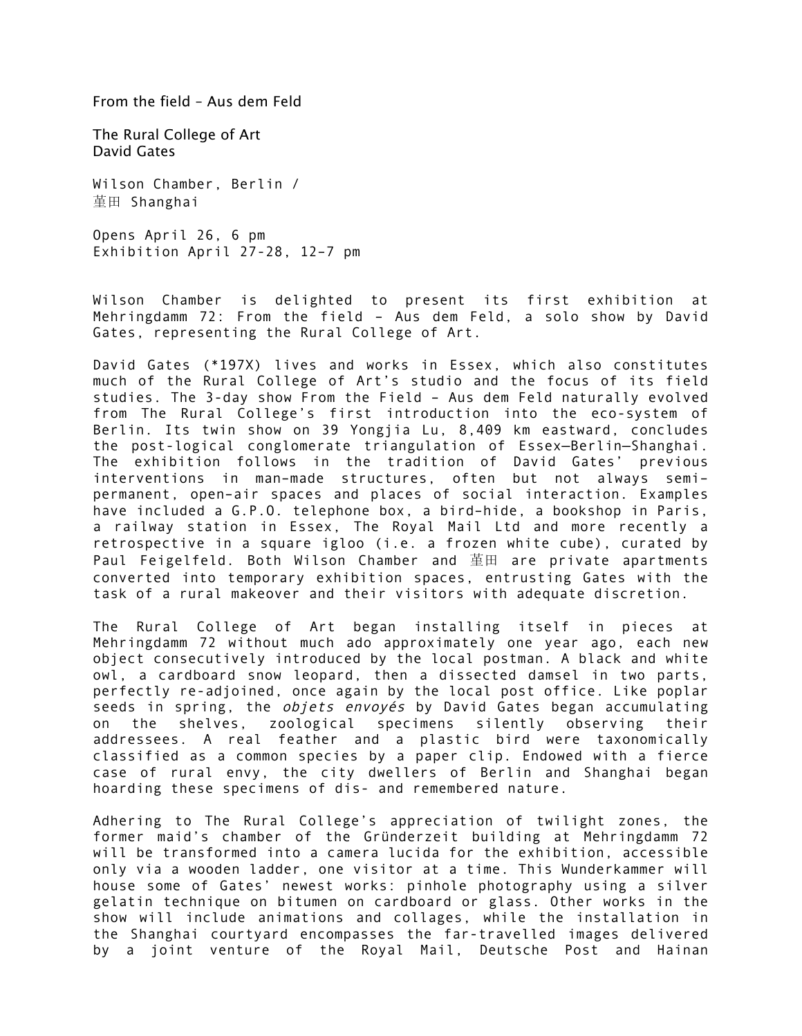From the field – Aus dem Feld

The Rural College of Art David Gates

Wilson Chamber, Berlin / 堇田 Shanghai

Opens April 26, 6 pm Exhibition April 27-28, 12–7 pm

Wilson Chamber is delighted to present its first exhibition at Mehringdamm 72: From the field – Aus dem Feld, a solo show by David Gates, representing the Rural College of Art.

David Gates (\*197X) lives and works in Essex, which also constitutes much of the Rural College of Art's studio and the focus of its field studies. The 3-day show From the Field – Aus dem Feld naturally evolved from The Rural College's first introduction into the eco-system of Berlin. Its twin show on 39 Yongjia Lu, 8,409 km eastward, concludes the post-logical conglomerate triangulation of Essex—Berlin—Shanghai. The exhibition follows in the tradition of David Gates' previous interventions in man–made structures, often but not always semi– permanent, open–air spaces and places of social interaction. Examples have included a G.P.O. telephone box, a bird–hide, a bookshop in Paris, a railway station in Essex, The Royal Mail Ltd and more recently a retrospective in a square igloo (i.e. a frozen white cube), curated by Paul Feigelfeld. Both Wilson Chamber and 堇田 are private apartments converted into temporary exhibition spaces, entrusting Gates with the task of a rural makeover and their visitors with adequate discretion.

The Rural College of Art began installing itself in pieces at Mehringdamm 72 without much ado approximately one year ago, each new object consecutively introduced by the local postman. A black and white owl, a cardboard snow leopard, then a dissected damsel in two parts, perfectly re-adjoined, once again by the local post office. Like poplar seeds in spring, the *objets envoyés* by David Gates began accumulating on the shelves, zoological specimens silently observing their addressees. A real feather and a plastic bird were taxonomically classified as a common species by a paper clip. Endowed with a fierce case of rural envy, the city dwellers of Berlin and Shanghai began hoarding these specimens of dis- and remembered nature.

Adhering to The Rural College's appreciation of twilight zones, the former maid's chamber of the Gründerzeit building at Mehringdamm 72 will be transformed into a camera lucida for the exhibition, accessible only via a wooden ladder, one visitor at a time. This Wunderkammer will house some of Gates' newest works: pinhole photography using a silver gelatin technique on bitumen on cardboard or glass. Other works in the show will include animations and collages, while the installation in the Shanghai courtyard encompasses the far-travelled images delivered by a joint venture of the Royal Mail, Deutsche Post and Hainan